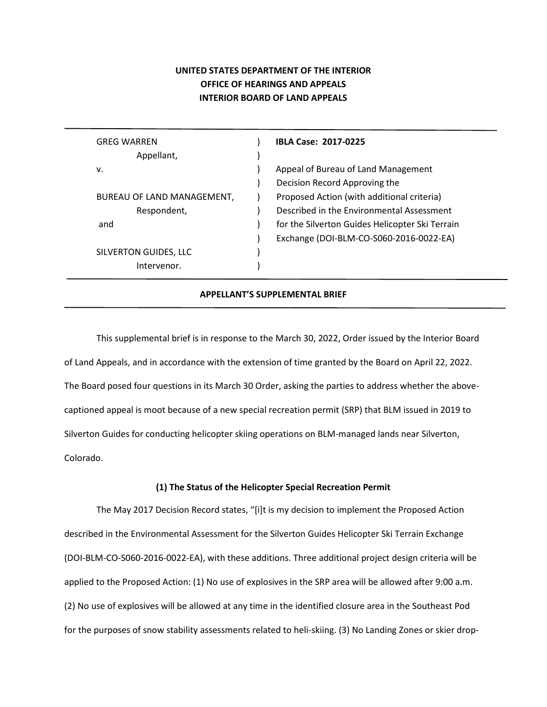# **UNITED STATES DEPARTMENT OF THE INTERIOR OFFICE OF HEARINGS AND APPEALS INTERIOR BOARD OF LAND APPEALS**

| <b>GREG WARREN</b>         | <b>IBLA Case: 2017-0225</b>                     |
|----------------------------|-------------------------------------------------|
| Appellant,                 |                                                 |
| ν.                         | Appeal of Bureau of Land Management             |
|                            | Decision Record Approving the                   |
| BUREAU OF LAND MANAGEMENT, | Proposed Action (with additional criteria)      |
| Respondent,                | Described in the Environmental Assessment       |
| and                        | for the Silverton Guides Helicopter Ski Terrain |
|                            | Exchange (DOI-BLM-CO-S060-2016-0022-EA)         |
| SILVERTON GUIDES, LLC      |                                                 |
| Intervenor.                |                                                 |

## **APPELLANT'S SUPPLEMENTAL BRIEF**

This supplemental brief is in response to the March 30, 2022, Order issued by the Interior Board of Land Appeals, and in accordance with the extension of time granted by the Board on April 22, 2022. The Board posed four questions in its March 30 Order, asking the parties to address whether the abovecaptioned appeal is moot because of a new special recreation permit (SRP) that BLM issued in 2019 to Silverton Guides for conducting helicopter skiing operations on BLM-managed lands near Silverton, Colorado.

## **(1) The Status of the Helicopter Special Recreation Permit**

The May 2017 Decision Record states, "[i]t is my decision to implement the Proposed Action described in the Environmental Assessment for the Silverton Guides Helicopter Ski Terrain Exchange (DOI-BLM-CO-S060-2016-0022-EA), with these additions. Three additional project design criteria will be applied to the Proposed Action: (1) No use of explosives in the SRP area will be allowed after 9:00 a.m. (2) No use of explosives will be allowed at any time in the identified closure area in the Southeast Pod for the purposes of snow stability assessments related to heli-skiing. (3) No Landing Zones or skier drop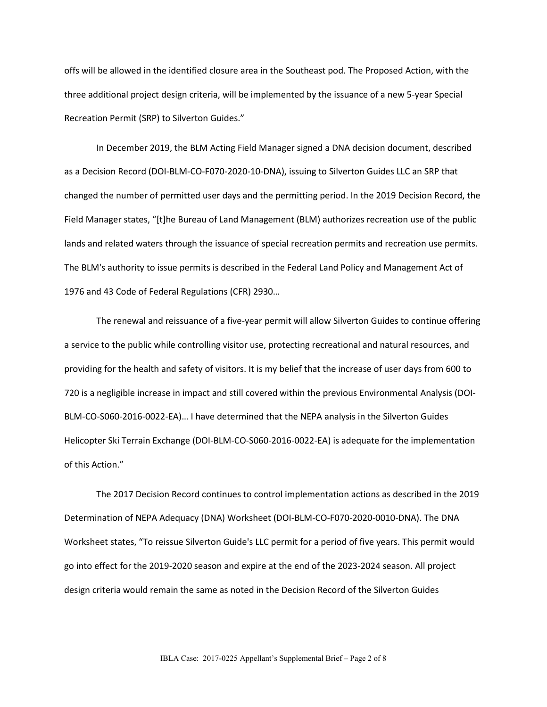offs will be allowed in the identified closure area in the Southeast pod. The Proposed Action, with the three additional project design criteria, will be implemented by the issuance of a new 5-year Special Recreation Permit (SRP) to Silverton Guides."

In December 2019, the BLM Acting Field Manager signed a DNA decision document, described as a Decision Record (DOI-BLM-CO-F070-2020-10-DNA), issuing to Silverton Guides LLC an SRP that changed the number of permitted user days and the permitting period. In the 2019 Decision Record, the Field Manager states, "[t]he Bureau of Land Management (BLM) authorizes recreation use of the public lands and related waters through the issuance of special recreation permits and recreation use permits. The BLM's authority to issue permits is described in the Federal Land Policy and Management Act of 1976 and 43 Code of Federal Regulations (CFR) 2930…

The renewal and reissuance of a five-year permit will allow Silverton Guides to continue offering a service to the public while controlling visitor use, protecting recreational and natural resources, and providing for the health and safety of visitors. It is my belief that the increase of user days from 600 to 720 is a negligible increase in impact and still covered within the previous Environmental Analysis (DOI-BLM-CO-S060-2016-0022-EA)… I have determined that the NEPA analysis in the Silverton Guides Helicopter Ski Terrain Exchange (DOI-BLM-CO-S060-2016-0022-EA) is adequate for the implementation of this Action."

The 2017 Decision Record continues to control implementation actions as described in the 2019 Determination of NEPA Adequacy (DNA) Worksheet (DOI-BLM-CO-F070-2020-0010-DNA). The DNA Worksheet states, "To reissue Silverton Guide's LLC permit for a period of five years. This permit would go into effect for the 2019-2020 season and expire at the end of the 2023-2024 season. All project design criteria would remain the same as noted in the Decision Record of the Silverton Guides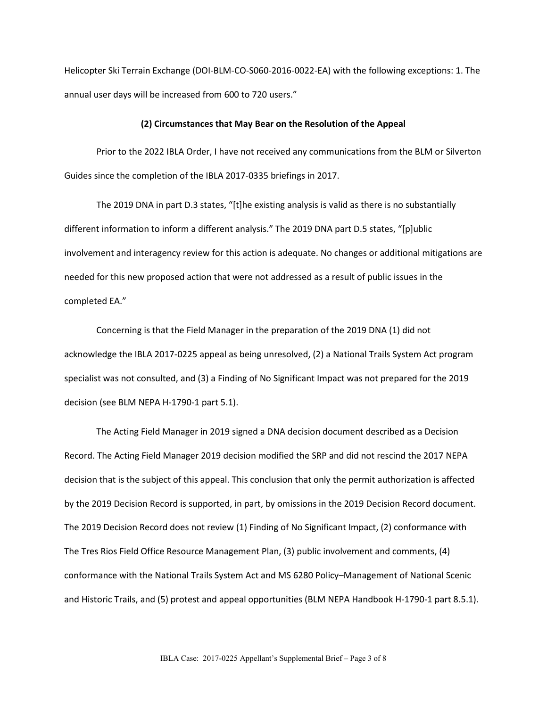Helicopter Ski Terrain Exchange (DOI-BLM-CO-S060-2016-0022-EA) with the following exceptions: 1. The annual user days will be increased from 600 to 720 users."

#### **(2) Circumstances that May Bear on the Resolution of the Appeal**

Prior to the 2022 IBLA Order, I have not received any communications from the BLM or Silverton Guides since the completion of the IBLA 2017-0335 briefings in 2017.

The 2019 DNA in part D.3 states, "[t]he existing analysis is valid as there is no substantially different information to inform a different analysis." The 2019 DNA part D.5 states, "[p]ublic involvement and interagency review for this action is adequate. No changes or additional mitigations are needed for this new proposed action that were not addressed as a result of public issues in the completed EA."

Concerning is that the Field Manager in the preparation of the 2019 DNA (1) did not acknowledge the IBLA 2017-0225 appeal as being unresolved, (2) a National Trails System Act program specialist was not consulted, and (3) a Finding of No Significant Impact was not prepared for the 2019 decision (see BLM NEPA H-1790-1 part 5.1).

The Acting Field Manager in 2019 signed a DNA decision document described as a Decision Record. The Acting Field Manager 2019 decision modified the SRP and did not rescind the 2017 NEPA decision that is the subject of this appeal. This conclusion that only the permit authorization is affected by the 2019 Decision Record is supported, in part, by omissions in the 2019 Decision Record document. The 2019 Decision Record does not review (1) Finding of No Significant Impact, (2) conformance with The Tres Rios Field Office Resource Management Plan, (3) public involvement and comments, (4) conformance with the National Trails System Act and MS 6280 Policy–Management of National Scenic and Historic Trails, and (5) protest and appeal opportunities (BLM NEPA Handbook H-1790-1 part 8.5.1).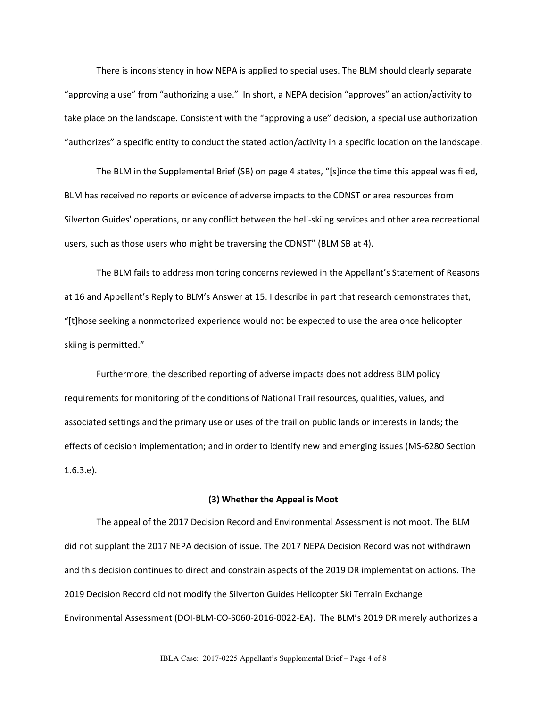There is inconsistency in how NEPA is applied to special uses. The BLM should clearly separate "approving a use" from "authorizing a use." In short, a NEPA decision "approves" an action/activity to take place on the landscape. Consistent with the "approving a use" decision, a special use authorization "authorizes" a specific entity to conduct the stated action/activity in a specific location on the landscape.

The BLM in the Supplemental Brief (SB) on page 4 states, "[s]ince the time this appeal was filed, BLM has received no reports or evidence of adverse impacts to the CDNST or area resources from Silverton Guides' operations, or any conflict between the heli-skiing services and other area recreational users, such as those users who might be traversing the CDNST" (BLM SB at 4).

The BLM fails to address monitoring concerns reviewed in the Appellant's Statement of Reasons at 16 and Appellant's Reply to BLM's Answer at 15. I describe in part that research demonstrates that, "[t]hose seeking a nonmotorized experience would not be expected to use the area once helicopter skiing is permitted."

Furthermore, the described reporting of adverse impacts does not address BLM policy requirements for monitoring of the conditions of National Trail resources, qualities, values, and associated settings and the primary use or uses of the trail on public lands or interests in lands; the effects of decision implementation; and in order to identify new and emerging issues (MS-6280 Section 1.6.3.e).

## **(3) Whether the Appeal is Moot**

The appeal of the 2017 Decision Record and Environmental Assessment is not moot. The BLM did not supplant the 2017 NEPA decision of issue. The 2017 NEPA Decision Record was not withdrawn and this decision continues to direct and constrain aspects of the 2019 DR implementation actions. The 2019 Decision Record did not modify the Silverton Guides Helicopter Ski Terrain Exchange Environmental Assessment (DOI-BLM-CO-S060-2016-0022-EA). The BLM's 2019 DR merely authorizes a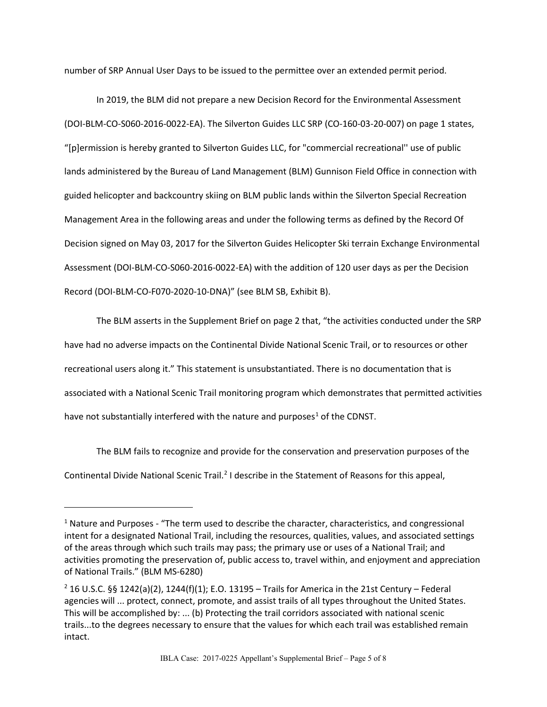number of SRP Annual User Days to be issued to the permittee over an extended permit period.

In 2019, the BLM did not prepare a new Decision Record for the Environmental Assessment (DOI-BLM-CO-S060-2016-0022-EA). The Silverton Guides LLC SRP (CO-160-03-20-007) on page 1 states, "[p]ermission is hereby granted to Silverton Guides LLC, for "commercial recreational'' use of public lands administered by the Bureau of Land Management (BLM) Gunnison Field Office in connection with guided helicopter and backcountry skiing on BLM public lands within the Silverton Special Recreation Management Area in the following areas and under the following terms as defined by the Record Of Decision signed on May 03, 2017 for the Silverton Guides Helicopter Ski terrain Exchange Environmental Assessment (DOI-BLM-CO-S060-2016-0022-EA) with the addition of 120 user days as per the Decision Record (DOI-BLM-CO-F070-2020-10-DNA)" (see BLM SB, Exhibit B).

The BLM asserts in the Supplement Brief on page 2 that, "the activities conducted under the SRP have had no adverse impacts on the Continental Divide National Scenic Trail, or to resources or other recreational users along it." This statement is unsubstantiated. There is no documentation that is associated with a National Scenic Trail monitoring program which demonstrates that permitted activities have not substantially interfered with the nature and purposes<sup>[1](#page-4-0)</sup> of the CDNST.

The BLM fails to recognize and provide for the conservation and preservation purposes of the Continental Divide National Scenic Trail.<sup>[2](#page-4-1)</sup> I describe in the Statement of Reasons for this appeal,

<span id="page-4-0"></span><sup>&</sup>lt;sup>1</sup> Nature and Purposes - "The term used to describe the character, characteristics, and congressional intent for a designated National Trail, including the resources, qualities, values, and associated settings of the areas through which such trails may pass; the primary use or uses of a National Trail; and activities promoting the preservation of, public access to, travel within, and enjoyment and appreciation of National Trails." (BLM MS-6280)

<span id="page-4-1"></span><sup>&</sup>lt;sup>2</sup> 16 U.S.C. §§ 1242(a)(2), 1244(f)(1); E.O. 13195 – Trails for America in the 21st Century – Federal agencies will ... protect, connect, promote, and assist trails of all types throughout the United States. This will be accomplished by: ... (b) Protecting the trail corridors associated with national scenic trails...to the degrees necessary to ensure that the values for which each trail was established remain intact.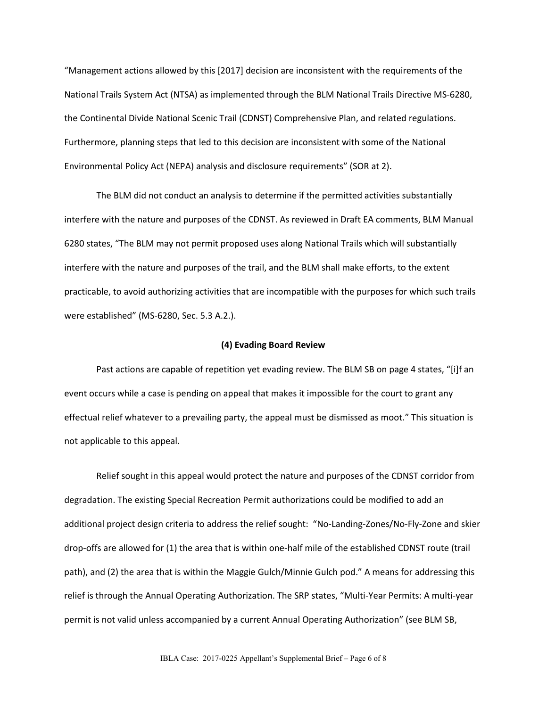"Management actions allowed by this [2017] decision are inconsistent with the requirements of the National Trails System Act (NTSA) as implemented through the BLM National Trails Directive MS-6280, the Continental Divide National Scenic Trail (CDNST) Comprehensive Plan, and related regulations. Furthermore, planning steps that led to this decision are inconsistent with some of the National Environmental Policy Act (NEPA) analysis and disclosure requirements" (SOR at 2).

The BLM did not conduct an analysis to determine if the permitted activities substantially interfere with the nature and purposes of the CDNST. As reviewed in Draft EA comments, BLM Manual 6280 states, "The BLM may not permit proposed uses along National Trails which will substantially interfere with the nature and purposes of the trail, and the BLM shall make efforts, to the extent practicable, to avoid authorizing activities that are incompatible with the purposes for which such trails were established" (MS-6280, Sec. 5.3 A.2.).

#### **(4) Evading Board Review**

Past actions are capable of repetition yet evading review. The BLM SB on page 4 states, "[i]f an event occurs while a case is pending on appeal that makes it impossible for the court to grant any effectual relief whatever to a prevailing party, the appeal must be dismissed as moot." This situation is not applicable to this appeal.

Relief sought in this appeal would protect the nature and purposes of the CDNST corridor from degradation. The existing Special Recreation Permit authorizations could be modified to add an additional project design criteria to address the relief sought: "No-Landing-Zones/No-Fly-Zone and skier drop-offs are allowed for (1) the area that is within one-half mile of the established CDNST route (trail path), and (2) the area that is within the Maggie Gulch/Minnie Gulch pod." A means for addressing this relief is through the Annual Operating Authorization. The SRP states, "Multi-Year Permits: A multi-year permit is not valid unless accompanied by a current Annual Operating Authorization" (see BLM SB,